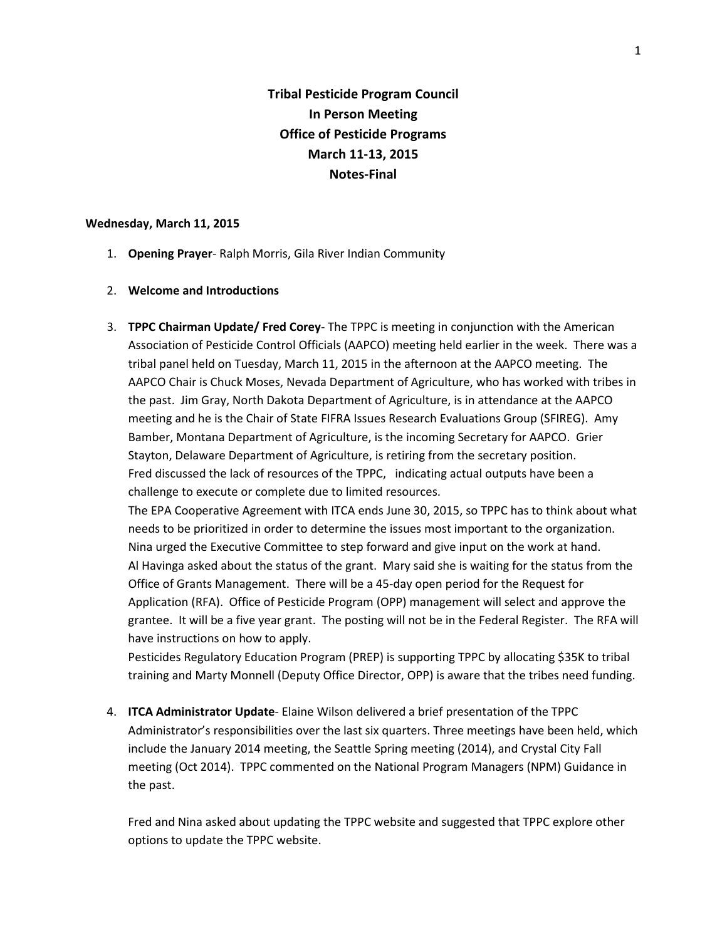**Tribal Pesticide Program Council In Person Meeting Office of Pesticide Programs March 11-13, 2015 Notes-Final**

#### **Wednesday, March 11, 2015**

- 1. **Opening Prayer** Ralph Morris, Gila River Indian Community
- 2. **Welcome and Introductions**
- 3. **TPPC Chairman Update/ Fred Corey** The TPPC is meeting in conjunction with the American Association of Pesticide Control Officials (AAPCO) meeting held earlier in the week. There was a tribal panel held on Tuesday, March 11, 2015 in the afternoon at the AAPCO meeting. The AAPCO Chair is Chuck Moses, Nevada Department of Agriculture, who has worked with tribes in the past. Jim Gray, North Dakota Department of Agriculture, is in attendance at the AAPCO meeting and he is the Chair of State FIFRA Issues Research Evaluations Group (SFIREG). Amy Bamber, Montana Department of Agriculture, is the incoming Secretary for AAPCO. Grier Stayton, Delaware Department of Agriculture, is retiring from the secretary position. Fred discussed the lack of resources of the TPPC, indicating actual outputs have been a challenge to execute or complete due to limited resources. The EPA Cooperative Agreement with ITCA ends June 30, 2015, so TPPC has to think about what

needs to be prioritized in order to determine the issues most important to the organization. Nina urged the Executive Committee to step forward and give input on the work at hand. Al Havinga asked about the status of the grant. Mary said she is waiting for the status from the Office of Grants Management. There will be a 45-day open period for the Request for Application (RFA). Office of Pesticide Program (OPP) management will select and approve the grantee. It will be a five year grant. The posting will not be in the Federal Register. The RFA will have instructions on how to apply.

Pesticides Regulatory Education Program (PREP) is supporting TPPC by allocating \$35K to tribal training and Marty Monnell (Deputy Office Director, OPP) is aware that the tribes need funding.

4. **ITCA Administrator Update**- Elaine Wilson delivered a brief presentation of the TPPC Administrator's responsibilities over the last six quarters. Three meetings have been held, which include the January 2014 meeting, the Seattle Spring meeting (2014), and Crystal City Fall meeting (Oct 2014). TPPC commented on the National Program Managers (NPM) Guidance in the past.

Fred and Nina asked about updating the TPPC website and suggested that TPPC explore other options to update the TPPC website.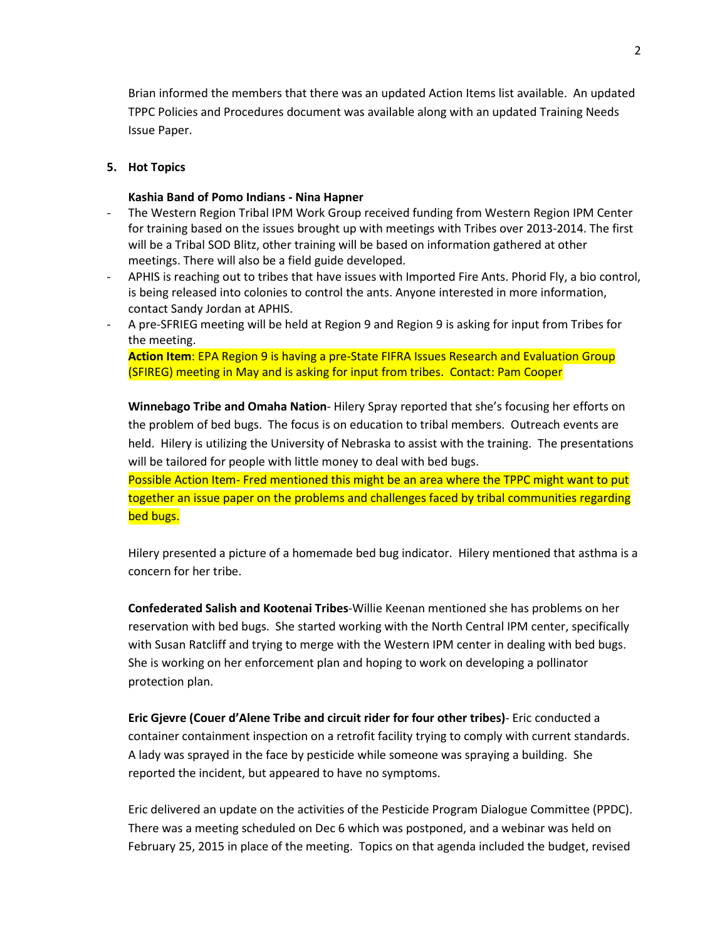Brian informed the members that there was an updated Action Items list available. An updated TPPC Policies and Procedures document was available along with an updated Training Needs Issue Paper.

## **5. Hot Topics**

### **Kashia Band of Pomo Indians - Nina Hapner**

- The Western Region Tribal IPM Work Group received funding from Western Region IPM Center for training based on the issues brought up with meetings with Tribes over 2013-2014. The first will be a Tribal SOD Blitz, other training will be based on information gathered at other meetings. There will also be a field guide developed.
- APHIS is reaching out to tribes that have issues with Imported Fire Ants. Phorid Fly, a bio control, is being released into colonies to control the ants. Anyone interested in more information, contact Sandy Jordan at APHIS.
- A pre-SFRIEG meeting will be held at Region 9 and Region 9 is asking for input from Tribes for the meeting.

**Action Item**: EPA Region 9 is having a pre-State FIFRA Issues Research and Evaluation Group (SFIREG) meeting in May and is asking for input from tribes. Contact: Pam Cooper

**Winnebago Tribe and Omaha Nation**- Hilery Spray reported that she's focusing her efforts on the problem of bed bugs. The focus is on education to tribal members. Outreach events are held. Hilery is utilizing the University of Nebraska to assist with the training. The presentations will be tailored for people with little money to deal with bed bugs.

Possible Action Item- Fred mentioned this might be an area where the TPPC might want to put together an issue paper on the problems and challenges faced by tribal communities regarding bed bugs.

Hilery presented a picture of a homemade bed bug indicator. Hilery mentioned that asthma is a concern for her tribe.

**Confederated Salish and Kootenai Tribes**-Willie Keenan mentioned she has problems on her reservation with bed bugs. She started working with the North Central IPM center, specifically with Susan Ratcliff and trying to merge with the Western IPM center in dealing with bed bugs. She is working on her enforcement plan and hoping to work on developing a pollinator protection plan.

**Eric Gjevre (Couer d'Alene Tribe and circuit rider for four other tribes)**- Eric conducted a container containment inspection on a retrofit facility trying to comply with current standards. A lady was sprayed in the face by pesticide while someone was spraying a building. She reported the incident, but appeared to have no symptoms.

Eric delivered an update on the activities of the Pesticide Program Dialogue Committee (PPDC). There was a meeting scheduled on Dec 6 which was postponed, and a webinar was held on February 25, 2015 in place of the meeting. Topics on that agenda included the budget, revised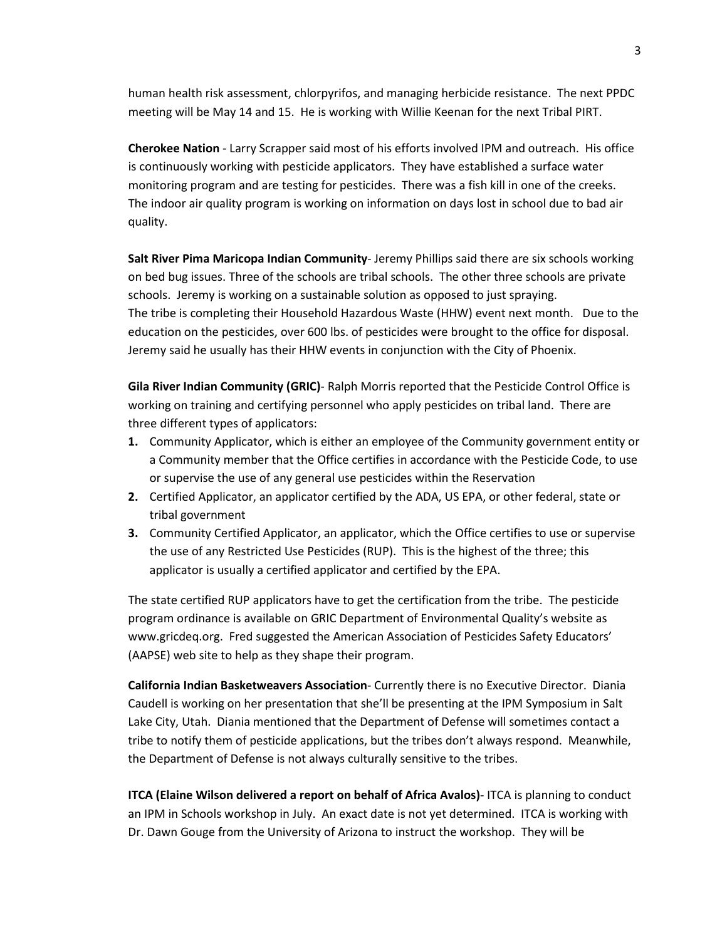human health risk assessment, chlorpyrifos, and managing herbicide resistance. The next PPDC meeting will be May 14 and 15. He is working with Willie Keenan for the next Tribal PIRT.

**Cherokee Nation** - Larry Scrapper said most of his efforts involved IPM and outreach. His office is continuously working with pesticide applicators. They have established a surface water monitoring program and are testing for pesticides. There was a fish kill in one of the creeks. The indoor air quality program is working on information on days lost in school due to bad air quality.

**Salt River Pima Maricopa Indian Community**- Jeremy Phillips said there are six schools working on bed bug issues. Three of the schools are tribal schools. The other three schools are private schools. Jeremy is working on a sustainable solution as opposed to just spraying. The tribe is completing their Household Hazardous Waste (HHW) event next month. Due to the education on the pesticides, over 600 lbs. of pesticides were brought to the office for disposal. Jeremy said he usually has their HHW events in conjunction with the City of Phoenix.

**Gila River Indian Community (GRIC)**- Ralph Morris reported that the Pesticide Control Office is working on training and certifying personnel who apply pesticides on tribal land. There are three different types of applicators:

- **1.** Community Applicator, which is either an employee of the Community government entity or a Community member that the Office certifies in accordance with the Pesticide Code, to use or supervise the use of any general use pesticides within the Reservation
- **2.** Certified Applicator, an applicator certified by the ADA, US EPA, or other federal, state or tribal government
- **3.** Community Certified Applicator, an applicator, which the Office certifies to use or supervise the use of any Restricted Use Pesticides (RUP). This is the highest of the three; this applicator is usually a certified applicator and certified by the EPA.

The state certified RUP applicators have to get the certification from the tribe. The pesticide program ordinance is available on GRIC Department of Environmental Quality's website as www.gricdeq.org. Fred suggested the American Association of Pesticides Safety Educators' (AAPSE) web site to help as they shape their program.

**California Indian Basketweavers Association**- Currently there is no Executive Director. Diania Caudell is working on her presentation that she'll be presenting at the IPM Symposium in Salt Lake City, Utah. Diania mentioned that the Department of Defense will sometimes contact a tribe to notify them of pesticide applications, but the tribes don't always respond. Meanwhile, the Department of Defense is not always culturally sensitive to the tribes.

**ITCA (Elaine Wilson delivered a report on behalf of Africa Avalos)**- ITCA is planning to conduct an IPM in Schools workshop in July. An exact date is not yet determined. ITCA is working with Dr. Dawn Gouge from the University of Arizona to instruct the workshop. They will be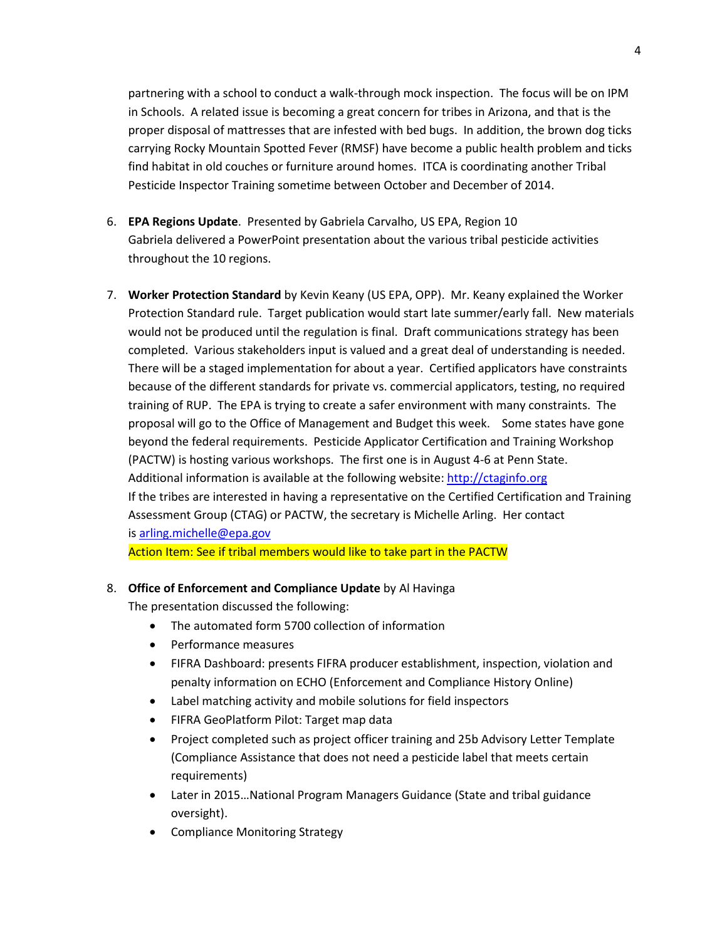partnering with a school to conduct a walk-through mock inspection. The focus will be on IPM in Schools. A related issue is becoming a great concern for tribes in Arizona, and that is the proper disposal of mattresses that are infested with bed bugs. In addition, the brown dog ticks carrying Rocky Mountain Spotted Fever (RMSF) have become a public health problem and ticks find habitat in old couches or furniture around homes. ITCA is coordinating another Tribal Pesticide Inspector Training sometime between October and December of 2014.

- 6. **EPA Regions Update**. Presented by Gabriela Carvalho, US EPA, Region 10 Gabriela delivered a PowerPoint presentation about the various tribal pesticide activities throughout the 10 regions.
- 7. **Worker Protection Standard** by Kevin Keany (US EPA, OPP). Mr. Keany explained the Worker Protection Standard rule. Target publication would start late summer/early fall. New materials would not be produced until the regulation is final. Draft communications strategy has been completed. Various stakeholders input is valued and a great deal of understanding is needed. There will be a staged implementation for about a year. Certified applicators have constraints because of the different standards for private vs. commercial applicators, testing, no required training of RUP. The EPA is trying to create a safer environment with many constraints. The proposal will go to the Office of Management and Budget this week. Some states have gone beyond the federal requirements. Pesticide Applicator Certification and Training Workshop (PACTW) is hosting various workshops. The first one is in August 4-6 at Penn State. Additional information is available at the following website: [http://ctaginfo.org](http://ctaginfo.org/) If the tribes are interested in having a representative on the Certified Certification and Training Assessment Group (CTAG) or PACTW, the secretary is Michelle Arling. Her contact is [arling.michelle@epa.gov](mailto:arling.michelle@epa.gov) Action Item: See if tribal members would like to take part in the PACTW

### 8. **Office of Enforcement and Compliance Update** by Al Havinga

The presentation discussed the following:

- The automated form 5700 collection of information
- Performance measures
- FIFRA Dashboard: presents FIFRA producer establishment, inspection, violation and penalty information on ECHO (Enforcement and Compliance History Online)
- Label matching activity and mobile solutions for field inspectors
- FIFRA GeoPlatform Pilot: Target map data
- Project completed such as project officer training and 25b Advisory Letter Template (Compliance Assistance that does not need a pesticide label that meets certain requirements)
- Later in 2015…National Program Managers Guidance (State and tribal guidance oversight).
- Compliance Monitoring Strategy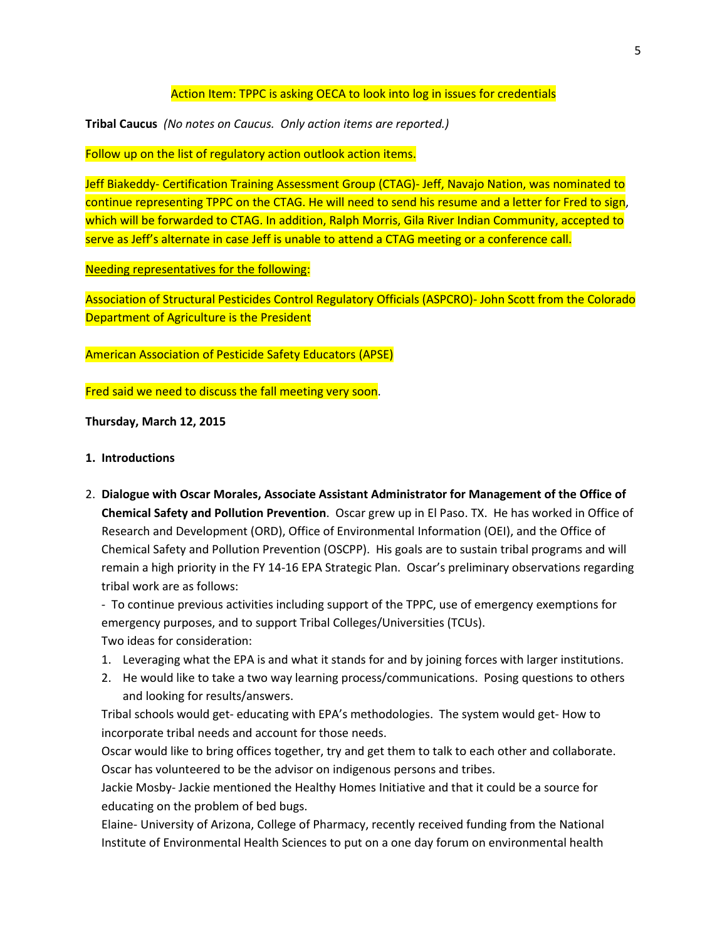## Action Item: TPPC is asking OECA to look into log in issues for credentials

**Tribal Caucus** *(No notes on Caucus. Only action items are reported.)*

Follow up on the list of regulatory action outlook action items.

Jeff Biakeddy- Certification Training Assessment Group (CTAG)- Jeff, Navajo Nation, was nominated to continue representing TPPC on the CTAG. He will need to send his resume and a letter for Fred to sign, which will be forwarded to CTAG. In addition, Ralph Morris, Gila River Indian Community, accepted to serve as Jeff's alternate in case Jeff is unable to attend a CTAG meeting or a conference call.

Needing representatives for the following:

Association of Structural Pesticides Control Regulatory Officials (ASPCRO)- John Scott from the Colorado Department of Agriculture is the President

American Association of Pesticide Safety Educators (APSE)

Fred said we need to discuss the fall meeting very soon.

**Thursday, March 12, 2015**

- **1. Introductions**
- 2. **Dialogue with Oscar Morales, Associate Assistant Administrator for Management of the Office of Chemical Safety and Pollution Prevention**. Oscar grew up in El Paso. TX. He has worked in Office of Research and Development (ORD), Office of Environmental Information (OEI), and the Office of Chemical Safety and Pollution Prevention (OSCPP). His goals are to sustain tribal programs and will remain a high priority in the FY 14-16 EPA Strategic Plan. Oscar's preliminary observations regarding tribal work are as follows:

- To continue previous activities including support of the TPPC, use of emergency exemptions for emergency purposes, and to support Tribal Colleges/Universities (TCUs). Two ideas for consideration:

- 1. Leveraging what the EPA is and what it stands for and by joining forces with larger institutions.
- 2. He would like to take a two way learning process/communications. Posing questions to others and looking for results/answers.

Tribal schools would get- educating with EPA's methodologies. The system would get- How to incorporate tribal needs and account for those needs.

Oscar would like to bring offices together, try and get them to talk to each other and collaborate. Oscar has volunteered to be the advisor on indigenous persons and tribes.

Jackie Mosby- Jackie mentioned the Healthy Homes Initiative and that it could be a source for educating on the problem of bed bugs.

Elaine- University of Arizona, College of Pharmacy, recently received funding from the National Institute of Environmental Health Sciences to put on a one day forum on environmental health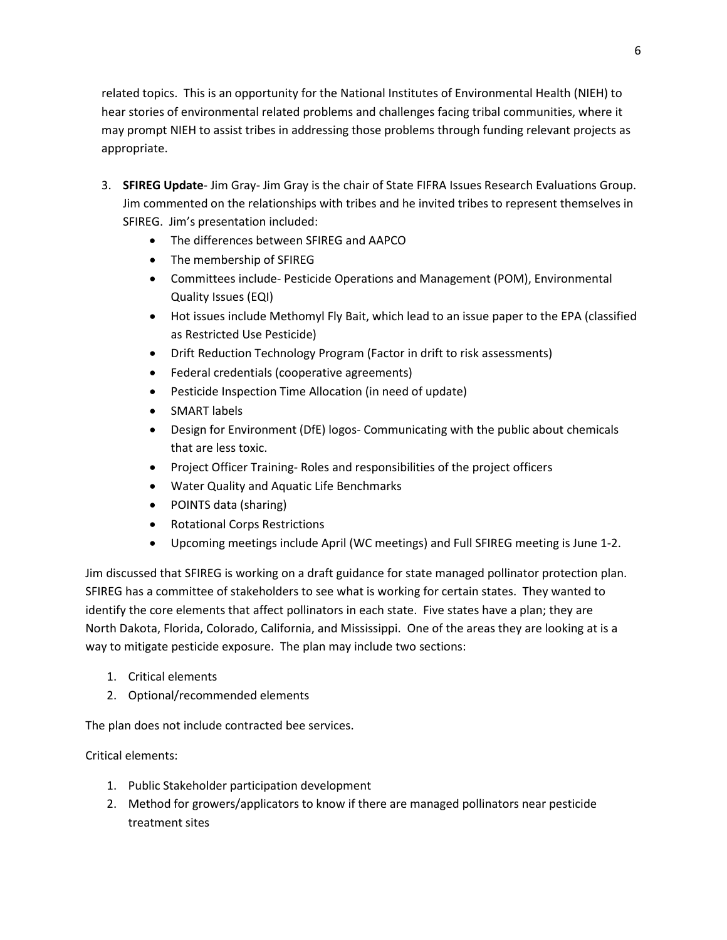related topics. This is an opportunity for the National Institutes of Environmental Health (NIEH) to hear stories of environmental related problems and challenges facing tribal communities, where it may prompt NIEH to assist tribes in addressing those problems through funding relevant projects as appropriate.

- 3. **SFIREG Update** Jim Gray- Jim Gray is the chair of State FIFRA Issues Research Evaluations Group. Jim commented on the relationships with tribes and he invited tribes to represent themselves in SFIREG. Jim's presentation included:
	- The differences between SFIREG and AAPCO
	- The membership of SFIREG
	- Committees include- Pesticide Operations and Management (POM), Environmental Quality Issues (EQI)
	- Hot issues include Methomyl Fly Bait, which lead to an issue paper to the EPA (classified as Restricted Use Pesticide)
	- Drift Reduction Technology Program (Factor in drift to risk assessments)
	- Federal credentials (cooperative agreements)
	- Pesticide Inspection Time Allocation (in need of update)
	- SMART labels
	- Design for Environment (DfE) logos- Communicating with the public about chemicals that are less toxic.
	- Project Officer Training- Roles and responsibilities of the project officers
	- Water Quality and Aquatic Life Benchmarks
	- POINTS data (sharing)
	- Rotational Corps Restrictions
	- Upcoming meetings include April (WC meetings) and Full SFIREG meeting is June 1-2.

Jim discussed that SFIREG is working on a draft guidance for state managed pollinator protection plan. SFIREG has a committee of stakeholders to see what is working for certain states. They wanted to identify the core elements that affect pollinators in each state. Five states have a plan; they are North Dakota, Florida, Colorado, California, and Mississippi. One of the areas they are looking at is a way to mitigate pesticide exposure. The plan may include two sections:

- 1. Critical elements
- 2. Optional/recommended elements

The plan does not include contracted bee services.

Critical elements:

- 1. Public Stakeholder participation development
- 2. Method for growers/applicators to know if there are managed pollinators near pesticide treatment sites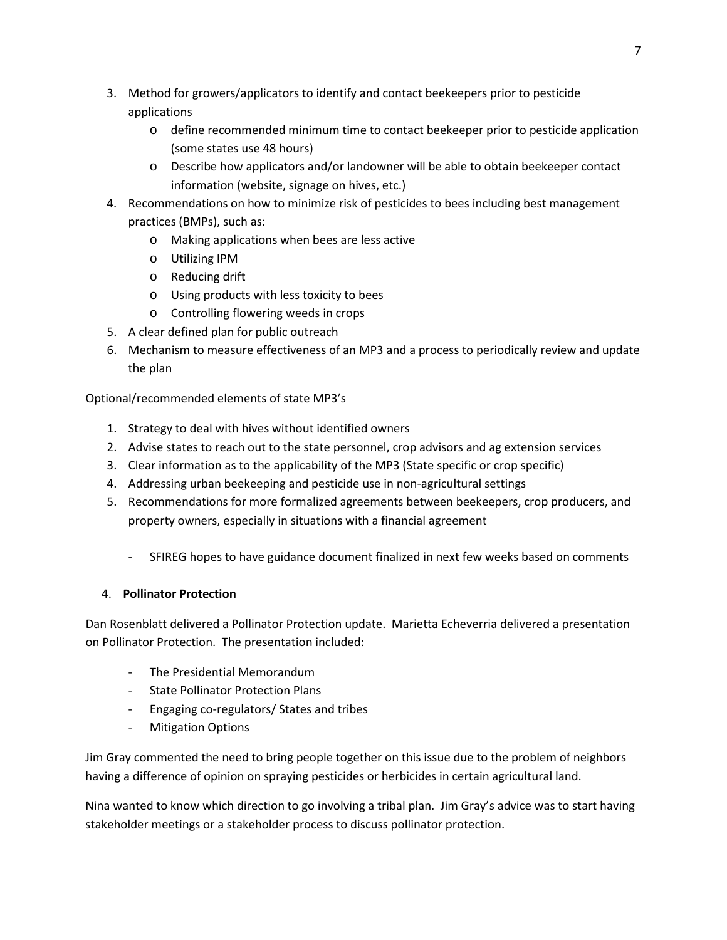- 3. Method for growers/applicators to identify and contact beekeepers prior to pesticide applications
	- o define recommended minimum time to contact beekeeper prior to pesticide application (some states use 48 hours)
	- o Describe how applicators and/or landowner will be able to obtain beekeeper contact information (website, signage on hives, etc.)
- 4. Recommendations on how to minimize risk of pesticides to bees including best management practices (BMPs), such as:
	- o Making applications when bees are less active
	- o Utilizing IPM
	- o Reducing drift
	- o Using products with less toxicity to bees
	- o Controlling flowering weeds in crops
- 5. A clear defined plan for public outreach
- 6. Mechanism to measure effectiveness of an MP3 and a process to periodically review and update the plan

Optional/recommended elements of state MP3's

- 1. Strategy to deal with hives without identified owners
- 2. Advise states to reach out to the state personnel, crop advisors and ag extension services
- 3. Clear information as to the applicability of the MP3 (State specific or crop specific)
- 4. Addressing urban beekeeping and pesticide use in non-agricultural settings
- 5. Recommendations for more formalized agreements between beekeepers, crop producers, and property owners, especially in situations with a financial agreement
	- SFIREG hopes to have guidance document finalized in next few weeks based on comments

# 4. **Pollinator Protection**

Dan Rosenblatt delivered a Pollinator Protection update. Marietta Echeverria delivered a presentation on Pollinator Protection. The presentation included:

- The Presidential Memorandum
- State Pollinator Protection Plans
- Engaging co-regulators/ States and tribes
- Mitigation Options

Jim Gray commented the need to bring people together on this issue due to the problem of neighbors having a difference of opinion on spraying pesticides or herbicides in certain agricultural land.

Nina wanted to know which direction to go involving a tribal plan. Jim Gray's advice was to start having stakeholder meetings or a stakeholder process to discuss pollinator protection.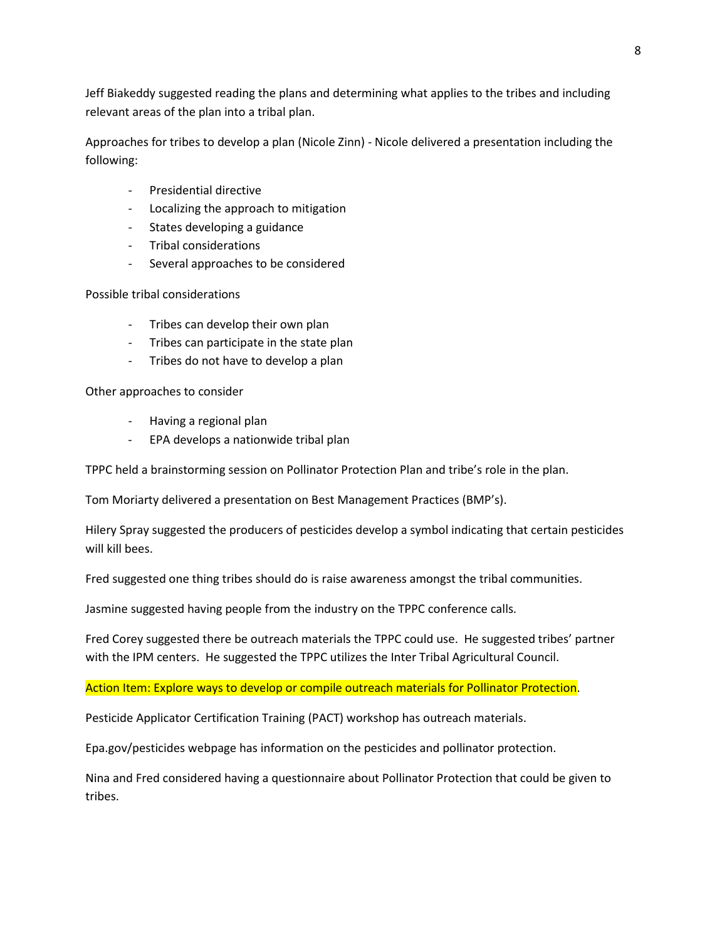Jeff Biakeddy suggested reading the plans and determining what applies to the tribes and including relevant areas of the plan into a tribal plan.

Approaches for tribes to develop a plan (Nicole Zinn) - Nicole delivered a presentation including the following:

- Presidential directive
- Localizing the approach to mitigation
- States developing a guidance
- Tribal considerations
- Several approaches to be considered

Possible tribal considerations

- Tribes can develop their own plan
- Tribes can participate in the state plan
- Tribes do not have to develop a plan

Other approaches to consider

- Having a regional plan
- EPA develops a nationwide tribal plan

TPPC held a brainstorming session on Pollinator Protection Plan and tribe's role in the plan.

Tom Moriarty delivered a presentation on Best Management Practices (BMP's).

Hilery Spray suggested the producers of pesticides develop a symbol indicating that certain pesticides will kill bees.

Fred suggested one thing tribes should do is raise awareness amongst the tribal communities.

Jasmine suggested having people from the industry on the TPPC conference calls.

Fred Corey suggested there be outreach materials the TPPC could use. He suggested tribes' partner with the IPM centers. He suggested the TPPC utilizes the Inter Tribal Agricultural Council.

## Action Item: Explore ways to develop or compile outreach materials for Pollinator Protection.

Pesticide Applicator Certification Training (PACT) workshop has outreach materials.

Epa.gov/pesticides webpage has information on the pesticides and pollinator protection.

Nina and Fred considered having a questionnaire about Pollinator Protection that could be given to tribes.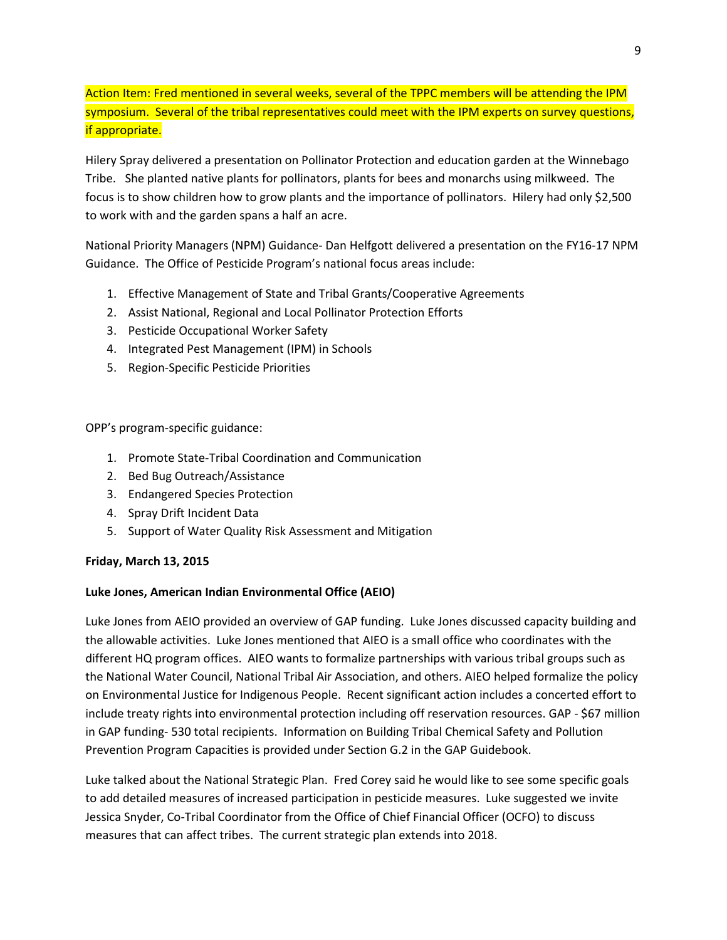Action Item: Fred mentioned in several weeks, several of the TPPC members will be attending the IPM symposium. Several of the tribal representatives could meet with the IPM experts on survey questions, if appropriate.

Hilery Spray delivered a presentation on Pollinator Protection and education garden at the Winnebago Tribe. She planted native plants for pollinators, plants for bees and monarchs using milkweed. The focus is to show children how to grow plants and the importance of pollinators. Hilery had only \$2,500 to work with and the garden spans a half an acre.

National Priority Managers (NPM) Guidance- Dan Helfgott delivered a presentation on the FY16-17 NPM Guidance. The Office of Pesticide Program's national focus areas include:

- 1. Effective Management of State and Tribal Grants/Cooperative Agreements
- 2. Assist National, Regional and Local Pollinator Protection Efforts
- 3. Pesticide Occupational Worker Safety
- 4. Integrated Pest Management (IPM) in Schools
- 5. Region-Specific Pesticide Priorities

OPP's program-specific guidance:

- 1. Promote State-Tribal Coordination and Communication
- 2. Bed Bug Outreach/Assistance
- 3. Endangered Species Protection
- 4. Spray Drift Incident Data
- 5. Support of Water Quality Risk Assessment and Mitigation

## **Friday, March 13, 2015**

## **Luke Jones, American Indian Environmental Office (AEIO)**

Luke Jones from AEIO provided an overview of GAP funding. Luke Jones discussed capacity building and the allowable activities. Luke Jones mentioned that AIEO is a small office who coordinates with the different HQ program offices. AIEO wants to formalize partnerships with various tribal groups such as the National Water Council, National Tribal Air Association, and others. AIEO helped formalize the policy on Environmental Justice for Indigenous People. Recent significant action includes a concerted effort to include treaty rights into environmental protection including off reservation resources. GAP - \$67 million in GAP funding- 530 total recipients. Information on Building Tribal Chemical Safety and Pollution Prevention Program Capacities is provided under Section G.2 in the GAP Guidebook.

Luke talked about the National Strategic Plan. Fred Corey said he would like to see some specific goals to add detailed measures of increased participation in pesticide measures. Luke suggested we invite Jessica Snyder, Co-Tribal Coordinator from the Office of Chief Financial Officer (OCFO) to discuss measures that can affect tribes. The current strategic plan extends into 2018.